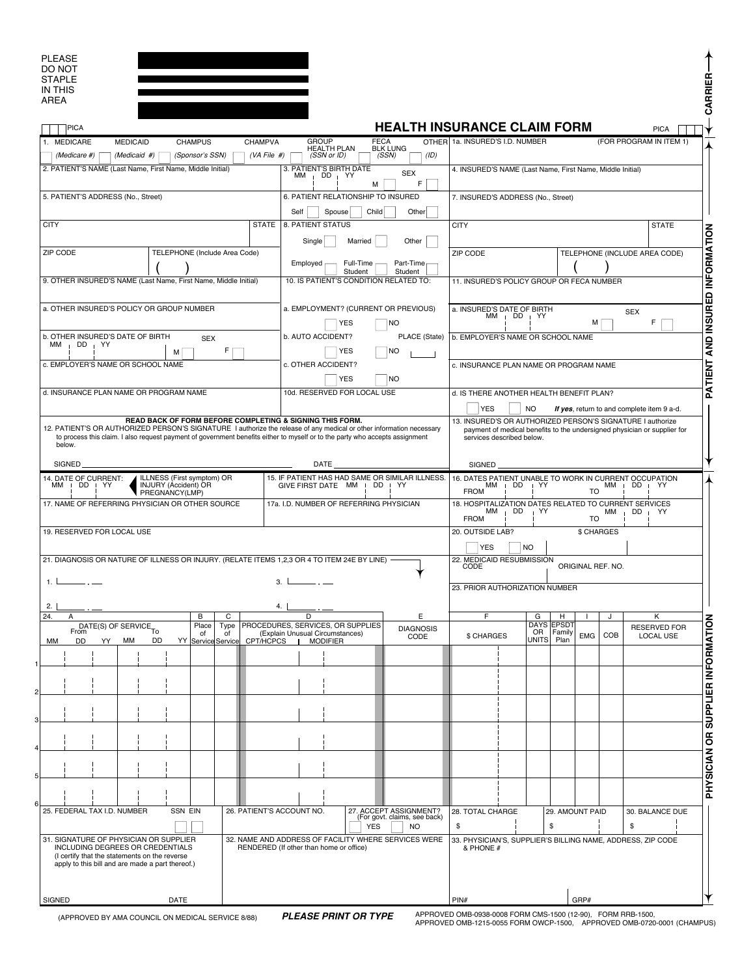| <b>PLEASE</b> |  |
|---------------|--|
| DO NOT        |  |
| <b>STAPLE</b> |  |
| IN THIS       |  |
| <b>AREA</b>   |  |
|               |  |
|               |  |

| <b>PLEASE</b><br>DO NOT                                                                                                                                                                                                                                                                                                    |                               |                 |                                                 |                           |                                            |                                                                                                              |                                                                                                                                                                     |                                                           |  |             |                        |                   |              |                                 |                         |                                          |  |  |
|----------------------------------------------------------------------------------------------------------------------------------------------------------------------------------------------------------------------------------------------------------------------------------------------------------------------------|-------------------------------|-----------------|-------------------------------------------------|---------------------------|--------------------------------------------|--------------------------------------------------------------------------------------------------------------|---------------------------------------------------------------------------------------------------------------------------------------------------------------------|-----------------------------------------------------------|--|-------------|------------------------|-------------------|--------------|---------------------------------|-------------------------|------------------------------------------|--|--|
| <b>STAPLE</b><br><b>IN THIS</b>                                                                                                                                                                                                                                                                                            |                               |                 |                                                 |                           |                                            |                                                                                                              |                                                                                                                                                                     |                                                           |  |             |                        |                   |              |                                 |                         | CARRIER                                  |  |  |
| <b>AREA</b>                                                                                                                                                                                                                                                                                                                |                               |                 |                                                 |                           |                                            |                                                                                                              |                                                                                                                                                                     |                                                           |  |             |                        |                   |              |                                 |                         |                                          |  |  |
| PICA                                                                                                                                                                                                                                                                                                                       |                               |                 |                                                 |                           |                                            |                                                                                                              | <b>HEALTH INSURANCE CLAIM FORM</b>                                                                                                                                  |                                                           |  |             |                        |                   |              |                                 | <b>PICA</b>             |                                          |  |  |
| <b>MEDICAID</b><br>1. MEDICARE                                                                                                                                                                                                                                                                                             |                               | <b>CHAMPUS</b>  |                                                 | CHAMPVA                   | <b>GROUP</b>                               | <b>FECA</b>                                                                                                  |                                                                                                                                                                     | OTHER 1a. INSURED'S I.D. NUMBER                           |  |             |                        |                   |              |                                 | (FOR PROGRAM IN ITEM 1) |                                          |  |  |
| (Medicare #)                                                                                                                                                                                                                                                                                                               | (Medicaid #)                  | (Sponsor's SSN) |                                                 | (VA File #)               |                                            | <b>HEALTH PLAN</b><br>(SSN or ID)                                                                            | BLK LUNG<br>(SSN)<br>(ID)                                                                                                                                           |                                                           |  |             |                        |                   |              |                                 |                         |                                          |  |  |
| 2. PATIENT'S NAME (Last Name, First Name, Middle Initial)                                                                                                                                                                                                                                                                  |                               |                 |                                                 |                           | 3. PATIENT'S BIRTH DATE<br>$DD + YY$<br>ΜМ | 4. INSURED'S NAME (Last Name, First Name, Middle Initial)                                                    |                                                                                                                                                                     |                                                           |  |             |                        |                   |              |                                 |                         |                                          |  |  |
| 5. PATIENT'S ADDRESS (No., Street)                                                                                                                                                                                                                                                                                         |                               |                 |                                                 |                           | 6. PATIENT RELATIONSHIP TO INSURED         | 7. INSURED'S ADDRESS (No., Street)                                                                           |                                                                                                                                                                     |                                                           |  |             |                        |                   |              |                                 |                         |                                          |  |  |
|                                                                                                                                                                                                                                                                                                                            |                               |                 |                                                 |                           |                                            | Self<br>Spouse<br>Child<br>Other                                                                             |                                                                                                                                                                     |                                                           |  |             |                        |                   |              |                                 |                         |                                          |  |  |
| <b>CITY</b>                                                                                                                                                                                                                                                                                                                | <b>STATE</b>                  |                 |                                                 |                           | 8. PATIENT STATUS                          | <b>CITY</b>                                                                                                  |                                                                                                                                                                     |                                                           |  |             |                        |                   | <b>STATE</b> | PATIENT AND INSURED INFORMATION |                         |                                          |  |  |
| ZIP CODE                                                                                                                                                                                                                                                                                                                   | TELEPHONE (Include Area Code) |                 |                                                 |                           | Single                                     | Married                                                                                                      | Other                                                                                                                                                               | ZIP CODE                                                  |  |             |                        |                   |              | TELEPHONE (INCLUDE AREA CODE)   |                         |                                          |  |  |
|                                                                                                                                                                                                                                                                                                                            |                               |                 |                                                 |                           | Employed                                   | Full-Time<br>Student                                                                                         | Part-Time<br>Student                                                                                                                                                |                                                           |  |             |                        |                   |              |                                 |                         |                                          |  |  |
| 9. OTHER INSURED'S NAME (Last Name, First Name, Middle Initial)                                                                                                                                                                                                                                                            |                               |                 |                                                 |                           |                                            | 10. IS PATIENT'S CONDITION RELATED TO:                                                                       |                                                                                                                                                                     | 11. INSURED'S POLICY GROUP OR FECA NUMBER                 |  |             |                        |                   |              |                                 |                         |                                          |  |  |
|                                                                                                                                                                                                                                                                                                                            |                               |                 |                                                 |                           |                                            |                                                                                                              |                                                                                                                                                                     |                                                           |  |             |                        |                   |              |                                 |                         |                                          |  |  |
| a. OTHER INSURED'S POLICY OR GROUP NUMBER                                                                                                                                                                                                                                                                                  |                               |                 | a. EMPLOYMENT? (CURRENT OR PREVIOUS)            |                           |                                            | a. INSURED'S DATE OF BIRTH<br><b>SEX</b><br>МM<br>$\overline{D}$ DD $\overline{I}$ YY                        |                                                                                                                                                                     |                                                           |  |             |                        |                   |              |                                 |                         |                                          |  |  |
| b. OTHER INSURED'S DATE OF BIRTH<br><b>SEX</b>                                                                                                                                                                                                                                                                             |                               |                 | YES<br>NO<br>PLACE (State)<br>b. AUTO ACCIDENT? |                           |                                            | b. EMPLOYER'S NAME OR SCHOOL NAME                                                                            |                                                                                                                                                                     |                                                           |  | М           |                        | F                 |              |                                 |                         |                                          |  |  |
| $MM$ DD $N$                                                                                                                                                                                                                                                                                                                | M                             |                 | F                                               |                           |                                            | YES                                                                                                          | NO.                                                                                                                                                                 |                                                           |  |             |                        |                   |              |                                 |                         |                                          |  |  |
| c. EMPLOYER'S NAME OR SCHOOL NAME                                                                                                                                                                                                                                                                                          |                               |                 |                                                 |                           | c. OTHER ACCIDENT?                         |                                                                                                              |                                                                                                                                                                     | c. INSURANCE PLAN NAME OR PROGRAM NAME                    |  |             |                        |                   |              |                                 |                         |                                          |  |  |
|                                                                                                                                                                                                                                                                                                                            |                               |                 |                                                 |                           |                                            | <b>YES</b>                                                                                                   | <b>NO</b>                                                                                                                                                           |                                                           |  |             |                        |                   |              |                                 |                         |                                          |  |  |
| d. INSURANCE PLAN NAME OR PROGRAM NAME                                                                                                                                                                                                                                                                                     |                               |                 |                                                 |                           |                                            | 10d. RESERVED FOR LOCAL USE                                                                                  | d. IS THERE ANOTHER HEALTH BENEFIT PLAN?                                                                                                                            |                                                           |  |             |                        |                   |              |                                 |                         |                                          |  |  |
|                                                                                                                                                                                                                                                                                                                            |                               |                 |                                                 |                           |                                            |                                                                                                              | <b>YES</b><br><b>NO</b><br>If yes, return to and complete item 9 a-d.                                                                                               |                                                           |  |             |                        |                   |              |                                 |                         |                                          |  |  |
| READ BACK OF FORM BEFORE COMPLETING & SIGNING THIS FORM.<br>12. PATIENT'S OR AUTHORIZED PERSON'S SIGNATURE I authorize the release of any medical or other information necessary<br>to process this claim. I also request payment of government benefits either to myself or to the party who accepts assignment<br>below. |                               |                 |                                                 |                           |                                            |                                                                                                              | 13. INSURED'S OR AUTHORIZED PERSON'S SIGNATURE I authorize<br>payment of medical benefits to the undersigned physician or supplier for<br>services described below. |                                                           |  |             |                        |                   |              |                                 |                         |                                          |  |  |
| <b>SIGNED</b><br>DATE                                                                                                                                                                                                                                                                                                      |                               |                 |                                                 |                           |                                            |                                                                                                              | <b>SIGNED</b>                                                                                                                                                       |                                                           |  |             |                        |                   |              |                                 |                         |                                          |  |  |
| ILLNESS (First symptom) OR<br>15. IF PATIENT HAS HAD SAME OR SIMILAR ILLNESS.<br>14. DATE OF CURRENT:                                                                                                                                                                                                                      |                               |                 |                                                 |                           |                                            | DD                                                                                                           | YY.                                                                                                                                                                 | 16. DATES PATIENT UNABLE TO WORK IN CURRENT OCCUPATION    |  |             |                        |                   |              |                                 |                         |                                          |  |  |
| DD   YY<br><b>INJURY (Accident) OR</b><br>мм<br>PREGNANCY(LMP)                                                                                                                                                                                                                                                             |                               |                 |                                                 |                           | GIVE FIRST DATE MM I                       | $MM$ $\mid$ DD<br>$MM$ $DD$ $N$<br>$\mathsf{I}$ YY<br><b>FROM</b><br>TO                                      |                                                                                                                                                                     |                                                           |  |             |                        |                   |              |                                 |                         |                                          |  |  |
| 17. NAME OF REFERRING PHYSICIAN OR OTHER SOURCE                                                                                                                                                                                                                                                                            |                               |                 |                                                 |                           | 17a. I.D. NUMBER OF REFERRING PHYSICIAN    | 18. HOSPITALIZATION DATES RELATED TO CURRENT SERVICES<br>$DD + YY$<br>MM DD<br>ΜМ<br>YY<br><b>FROM</b><br>TO |                                                                                                                                                                     |                                                           |  |             |                        |                   |              |                                 |                         |                                          |  |  |
| 19. RESERVED FOR LOCAL USE                                                                                                                                                                                                                                                                                                 |                               |                 |                                                 |                           |                                            |                                                                                                              |                                                                                                                                                                     | 20. OUTSIDE LAB?<br>\$ CHARGES<br><b>YES</b><br><b>NO</b> |  |             |                        |                   |              |                                 |                         |                                          |  |  |
| 21. DIAGNOSIS OR NATURE OF ILLNESS OR INJURY. (RELATE ITEMS 1.2.3 OR 4 TO ITEM 24E BY LINE)                                                                                                                                                                                                                                |                               |                 |                                                 |                           |                                            |                                                                                                              |                                                                                                                                                                     | 22. MEDICAID RESUBMISSION<br>CODE                         |  |             |                        | ORIGINAL REF. NO. |              |                                 |                         |                                          |  |  |
| 1. L                                                                                                                                                                                                                                                                                                                       |                               |                 |                                                 | 3.1                       |                                            |                                                                                                              |                                                                                                                                                                     | 23. PRIOR AUTHORIZATION NUMBER                            |  |             |                        |                   |              |                                 |                         |                                          |  |  |
| 2.1                                                                                                                                                                                                                                                                                                                        |                               |                 |                                                 | 4.                        |                                            |                                                                                                              |                                                                                                                                                                     |                                                           |  |             |                        |                   |              |                                 |                         |                                          |  |  |
| 24.<br>A<br>DATE(S) OF SERVICE <sub>TO</sub>                                                                                                                                                                                                                                                                               |                               | в<br>Place      | С<br>Type                                       |                           | D                                          | PROCEDURES, SERVICES, OR SUPPLIES                                                                            | Ε<br><b>DIAGNOSIS</b>                                                                                                                                               | F                                                         |  | G<br>DAYS   | н<br>EPSD <sub>1</sub> |                   |              |                                 | Κ<br>RESERVED FOR       |                                          |  |  |
| DD<br>МM<br>мм<br>YY.                                                                                                                                                                                                                                                                                                      | DD<br>YY                      | of              | of<br>Service Service                           | <b>CPT/HCPCS</b>          | (Explain Unusual Circumstances)            | <b>MODIFIER</b>                                                                                              | CODE                                                                                                                                                                | \$ CHARGES                                                |  | OR<br>UNITS | Family<br>Plan         | <b>EMG</b>        | COB          |                                 | LOCAL USE               |                                          |  |  |
|                                                                                                                                                                                                                                                                                                                            |                               |                 |                                                 |                           |                                            |                                                                                                              |                                                                                                                                                                     |                                                           |  |             |                        |                   |              |                                 |                         |                                          |  |  |
|                                                                                                                                                                                                                                                                                                                            |                               |                 |                                                 |                           |                                            |                                                                                                              |                                                                                                                                                                     |                                                           |  |             |                        |                   |              |                                 |                         |                                          |  |  |
|                                                                                                                                                                                                                                                                                                                            |                               |                 |                                                 |                           |                                            |                                                                                                              |                                                                                                                                                                     |                                                           |  |             |                        |                   |              |                                 |                         |                                          |  |  |
|                                                                                                                                                                                                                                                                                                                            |                               |                 |                                                 |                           |                                            |                                                                                                              |                                                                                                                                                                     |                                                           |  |             |                        |                   |              |                                 |                         |                                          |  |  |
|                                                                                                                                                                                                                                                                                                                            |                               |                 |                                                 |                           |                                            |                                                                                                              |                                                                                                                                                                     |                                                           |  |             |                        |                   |              |                                 |                         |                                          |  |  |
|                                                                                                                                                                                                                                                                                                                            |                               |                 |                                                 |                           |                                            |                                                                                                              |                                                                                                                                                                     |                                                           |  |             |                        |                   |              |                                 |                         | <b>PHYSICIAN OR SUPPLIER INFORMATION</b> |  |  |
|                                                                                                                                                                                                                                                                                                                            |                               |                 |                                                 |                           |                                            |                                                                                                              |                                                                                                                                                                     |                                                           |  |             |                        |                   |              |                                 |                         |                                          |  |  |
|                                                                                                                                                                                                                                                                                                                            |                               |                 |                                                 |                           |                                            |                                                                                                              |                                                                                                                                                                     |                                                           |  |             |                        |                   |              |                                 |                         |                                          |  |  |
|                                                                                                                                                                                                                                                                                                                            |                               |                 |                                                 |                           |                                            |                                                                                                              |                                                                                                                                                                     |                                                           |  |             |                        |                   |              |                                 |                         |                                          |  |  |
| 25. FEDERAL TAX I.D. NUMBER                                                                                                                                                                                                                                                                                                | <b>SSN EIN</b>                |                 |                                                 | 26. PATIENT'S ACCOUNT NO. |                                            |                                                                                                              | 27. ACCEPT ASSIGNMENT?                                                                                                                                              | 28. TOTAL CHARGE                                          |  |             | 29. AMOUNT PAID        |                   |              |                                 | 30. BALANCE DUE         |                                          |  |  |
|                                                                                                                                                                                                                                                                                                                            |                               |                 |                                                 |                           |                                            | <b>YES</b>                                                                                                   | (For govt. claims, see back)<br>N <sub>O</sub>                                                                                                                      | \$                                                        |  |             | \$                     |                   |              | \$                              |                         |                                          |  |  |
| 31. SIGNATURE OF PHYSICIAN OR SUPPLIER<br>32. NAME AND ADDRESS OF FACILITY WHERE SERVICES WERE                                                                                                                                                                                                                             |                               |                 |                                                 |                           |                                            | 33. PHYSICIAN'S, SUPPLIER'S BILLING NAME, ADDRESS, ZIP CODE                                                  |                                                                                                                                                                     |                                                           |  |             |                        |                   |              |                                 |                         |                                          |  |  |
| INCLUDING DEGREES OR CREDENTIALS<br>RENDERED (If other than home or office)<br>(I certify that the statements on the reverse<br>apply to this bill and are made a part thereof.)                                                                                                                                           |                               |                 |                                                 |                           |                                            | & PHONE #                                                                                                    |                                                                                                                                                                     |                                                           |  |             |                        |                   |              |                                 |                         |                                          |  |  |
|                                                                                                                                                                                                                                                                                                                            |                               |                 |                                                 |                           |                                            |                                                                                                              |                                                                                                                                                                     |                                                           |  |             |                        |                   |              |                                 |                         |                                          |  |  |
|                                                                                                                                                                                                                                                                                                                            |                               |                 |                                                 |                           |                                            |                                                                                                              |                                                                                                                                                                     |                                                           |  |             |                        |                   |              |                                 |                         |                                          |  |  |
| SIGNED                                                                                                                                                                                                                                                                                                                     | DATE                          |                 |                                                 |                           |                                            |                                                                                                              |                                                                                                                                                                     | PIN#                                                      |  |             |                        | GRP#              |              |                                 |                         |                                          |  |  |

(APPROVED BY AMA COUNCIL ON MEDICAL SERVICE 8/88)

**PLEASE PRINT OR TYPE** APPROVED OMB-0938-0008 FORM CMS-1500 (12-90), FORM RRB-1500, APPROVED OMB-1215-0055 FORM OWCP-1500, APPROVED OMB-0720-0001 (CHAMPUS)